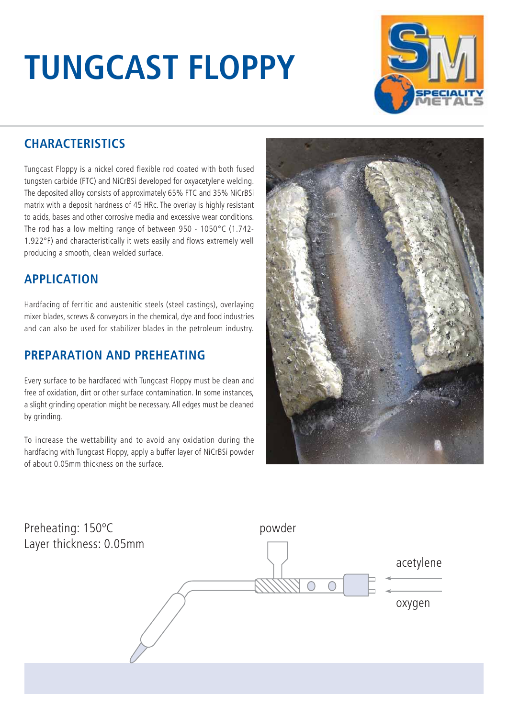# **TUNGCAST FLOPPY**



### **CHARACTERISTICS**

Tungcast Floppy is a nickel cored flexible rod coated with both fused tungsten carbide (FTC) and NiCrBSi developed for oxyacetylene welding. The deposited alloy consists of approximately 65% FTC and 35% NiCrBSi matrix with a deposit hardness of 45 HRc. The overlay is highly resistant to acids, bases and other corrosive media and excessive wear conditions. The rod has a low melting range of between 950 - 1050°C (1.742- 1.922°F) and characteristically it wets easily and flows extremely well producing a smooth, clean welded surface.

#### **APPLICATION**

Hardfacing of ferritic and austenitic steels (steel castings), overlaying mixer blades, screws & conveyors in the chemical, dye and food industries and can also be used for stabilizer blades in the petroleum industry.

#### **PREPARATION AND PREHEATING**

Every surface to be hardfaced with Tungcast Floppy must be clean and free of oxidation, dirt or other surface contamination. In some instances, a slight grinding operation might be necessary. All edges must be cleaned by grinding.

To increase the wettability and to avoid any oxidation during the hardfacing with Tungcast Floppy, apply a buffer layer of NiCrBSi powder of about 0.05mm thickness on the surface.